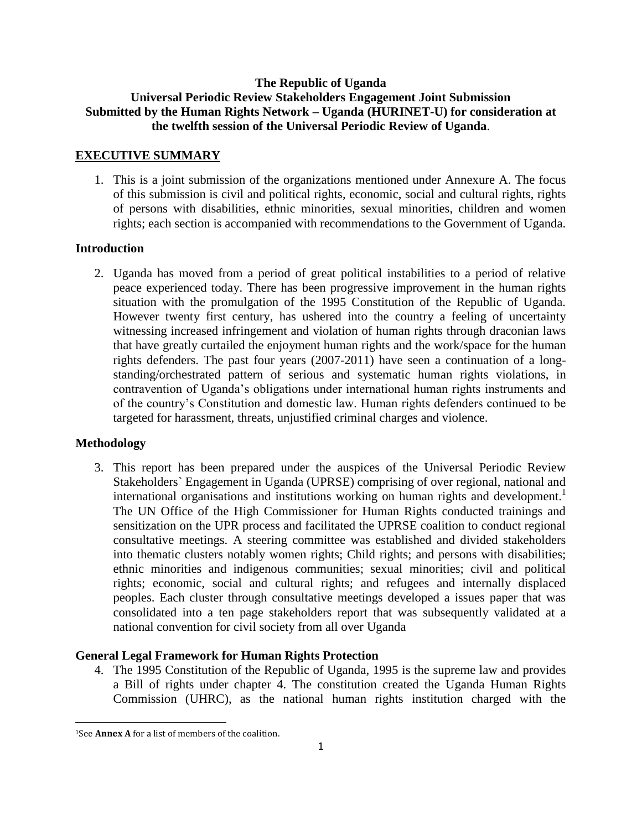# **The Republic of Uganda Universal Periodic Review Stakeholders Engagement Joint Submission Submitted by the Human Rights Network – Uganda (HURINET-U) for consideration at the twelfth session of the Universal Periodic Review of Uganda**.

#### **EXECUTIVE SUMMARY**

1. This is a joint submission of the organizations mentioned under Annexure A. The focus of this submission is civil and political rights, economic, social and cultural rights, rights of persons with disabilities, ethnic minorities, sexual minorities, children and women rights; each section is accompanied with recommendations to the Government of Uganda.

#### **Introduction**

2. Uganda has moved from a period of great political instabilities to a period of relative peace experienced today. There has been progressive improvement in the human rights situation with the promulgation of the 1995 Constitution of the Republic of Uganda. However twenty first century, has ushered into the country a feeling of uncertainty witnessing increased infringement and violation of human rights through draconian laws that have greatly curtailed the enjoyment human rights and the work/space for the human rights defenders. The past four years (2007-2011) have seen a continuation of a longstanding/orchestrated pattern of serious and systematic human rights violations, in contravention of Uganda"s obligations under international human rights instruments and of the country"s Constitution and domestic law. Human rights defenders continued to be targeted for harassment, threats, unjustified criminal charges and violence.

#### **Methodology**

3. This report has been prepared under the auspices of the Universal Periodic Review Stakeholders` Engagement in Uganda (UPRSE) comprising of over regional, national and international organisations and institutions working on human rights and development.<sup>1</sup> The UN Office of the High Commissioner for Human Rights conducted trainings and sensitization on the UPR process and facilitated the UPRSE coalition to conduct regional consultative meetings. A steering committee was established and divided stakeholders into thematic clusters notably women rights; Child rights; and persons with disabilities; ethnic minorities and indigenous communities; sexual minorities; civil and political rights; economic, social and cultural rights; and refugees and internally displaced peoples. Each cluster through consultative meetings developed a issues paper that was consolidated into a ten page stakeholders report that was subsequently validated at a national convention for civil society from all over Uganda

#### **General Legal Framework for Human Rights Protection**

4. The 1995 Constitution of the Republic of Uganda, 1995 is the supreme law and provides a Bill of rights under chapter 4. The constitution created the Uganda Human Rights Commission (UHRC), as the national human rights institution charged with the

 $\overline{\phantom{a}}$ <sup>1</sup>See **Annex A** for a list of members of the coalition.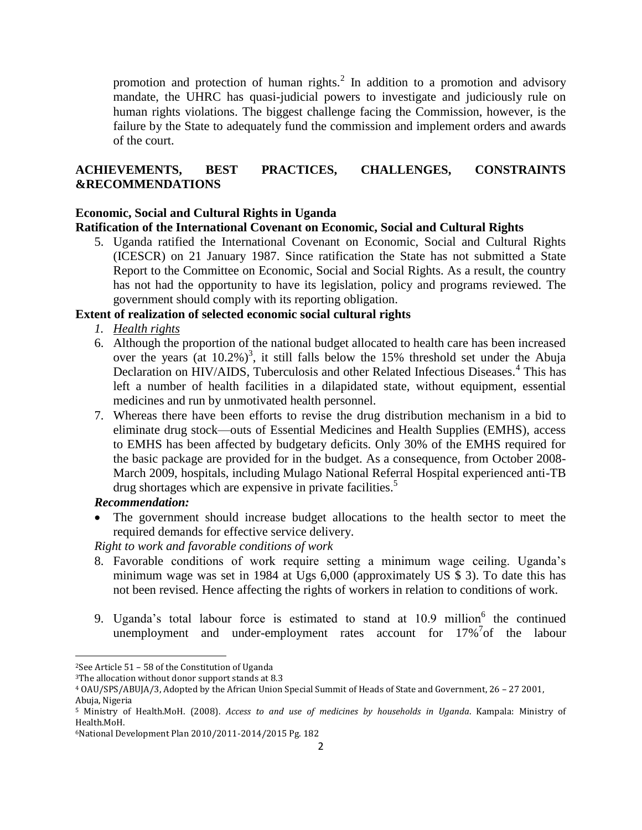promotion and protection of human rights. $^2$  In addition to a promotion and advisory mandate, the UHRC has quasi-judicial powers to investigate and judiciously rule on human rights violations. The biggest challenge facing the Commission, however, is the failure by the State to adequately fund the commission and implement orders and awards of the court.

# **ACHIEVEMENTS, BEST PRACTICES, CHALLENGES, CONSTRAINTS &RECOMMENDATIONS**

# **Economic, Social and Cultural Rights in Uganda**

# **Ratification of the International Covenant on Economic, Social and Cultural Rights**

5. Uganda ratified the International Covenant on Economic, Social and Cultural Rights (ICESCR) on 21 January 1987. Since ratification the State has not submitted a State Report to the Committee on Economic, Social and Social Rights. As a result, the country has not had the opportunity to have its legislation, policy and programs reviewed. The government should comply with its reporting obligation.

## **Extent of realization of selected economic social cultural rights**

- *1. Health rights*
- 6. Although the proportion of the national budget allocated to health care has been increased over the years (at  $10.2\%$ )<sup>3</sup>, it still falls below the 15% threshold set under the Abuja Declaration on HIV/AIDS, Tuberculosis and other Related Infectious Diseases.<sup>4</sup> This has left a number of health facilities in a dilapidated state, without equipment, essential medicines and run by unmotivated health personnel.
- 7. Whereas there have been efforts to revise the drug distribution mechanism in a bid to eliminate drug stock—outs of Essential Medicines and Health Supplies (EMHS), access to EMHS has been affected by budgetary deficits. Only 30% of the EMHS required for the basic package are provided for in the budget. As a consequence, from October 2008- March 2009, hospitals, including Mulago National Referral Hospital experienced anti-TB drug shortages which are expensive in private facilities.<sup>5</sup>

# *Recommendation:*

 $\overline{\phantom{a}}$ 

 The government should increase budget allocations to the health sector to meet the required demands for effective service delivery.

*Right to work and favorable conditions of work* 

- 8. Favorable conditions of work require setting a minimum wage ceiling. Uganda"s minimum wage was set in 1984 at Ugs 6,000 (approximately US \$ 3). To date this has not been revised. Hence affecting the rights of workers in relation to conditions of work.
- 9. Uganda's total labour force is estimated to stand at 10.9 million<sup>6</sup> the continued unemployment and under-employment rates account for  $17\%$ <sup>7</sup> of the labour

<sup>2</sup>See Article 51 – 58 of the Constitution of Uganda

<sup>3</sup>The allocation without donor support stands at 8.3

<sup>4</sup> OAU/SPS/ABUJA/3, Adopted by the African Union Special Summit of Heads of State and Government, 26 – 27 2001, Abuja, Nigeria

<sup>5</sup> Ministry of Health.MoH. (2008). *Access to and use of medicines by households in Uganda*. Kampala: Ministry of Health.MoH.

<sup>6</sup>National Development Plan 2010/2011-2014/2015 Pg. 182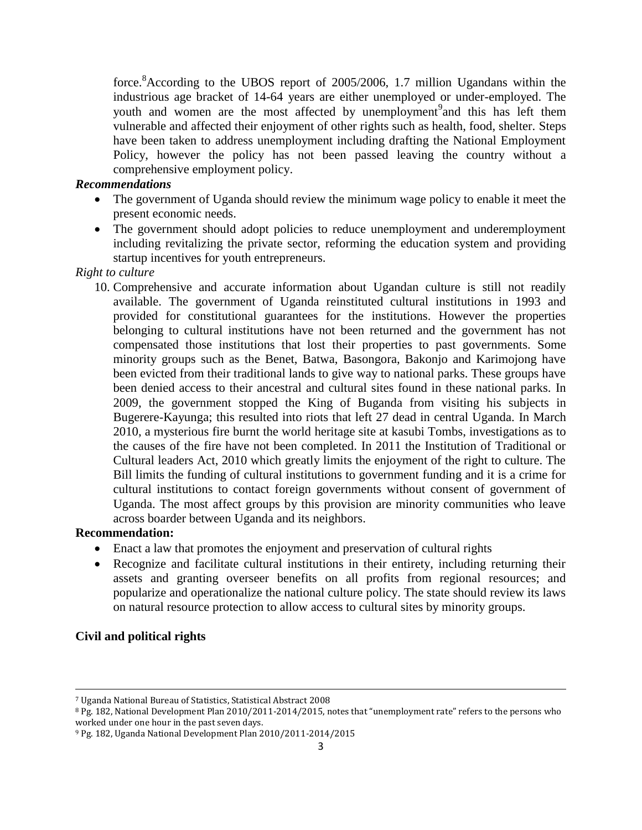force.<sup>8</sup>According to the UBOS report of 2005/2006, 1.7 million Ugandans within the industrious age bracket of 14-64 years are either unemployed or under-employed. The youth and women are the most affected by unemployment<sup>9</sup> and this has left them vulnerable and affected their enjoyment of other rights such as health, food, shelter. Steps have been taken to address unemployment including drafting the National Employment Policy, however the policy has not been passed leaving the country without a comprehensive employment policy.

## *Recommendations*

- The government of Uganda should review the minimum wage policy to enable it meet the present economic needs.
- The government should adopt policies to reduce unemployment and underemployment including revitalizing the private sector, reforming the education system and providing startup incentives for youth entrepreneurs.

# *Right to culture*

10. Comprehensive and accurate information about Ugandan culture is still not readily available. The government of Uganda reinstituted cultural institutions in 1993 and provided for constitutional guarantees for the institutions. However the properties belonging to cultural institutions have not been returned and the government has not compensated those institutions that lost their properties to past governments. Some minority groups such as the Benet, Batwa, Basongora, Bakonjo and Karimojong have been evicted from their traditional lands to give way to national parks. These groups have been denied access to their ancestral and cultural sites found in these national parks. In 2009, the government stopped the King of Buganda from visiting his subjects in Bugerere-Kayunga; this resulted into riots that left 27 dead in central Uganda. In March 2010, a mysterious fire burnt the world heritage site at kasubi Tombs, investigations as to the causes of the fire have not been completed. In 2011 the Institution of Traditional or Cultural leaders Act, 2010 which greatly limits the enjoyment of the right to culture. The Bill limits the funding of cultural institutions to government funding and it is a crime for cultural institutions to contact foreign governments without consent of government of Uganda. The most affect groups by this provision are minority communities who leave across boarder between Uganda and its neighbors.

## **Recommendation:**

- Enact a law that promotes the enjoyment and preservation of cultural rights
- Recognize and facilitate cultural institutions in their entirety, including returning their assets and granting overseer benefits on all profits from regional resources; and popularize and operationalize the national culture policy. The state should review its laws on natural resource protection to allow access to cultural sites by minority groups.

# **Civil and political rights**

 $\overline{\phantom{a}}$ <sup>7</sup> Uganda National Bureau of Statistics, Statistical Abstract 2008

<sup>8</sup> Pg. 182, National Development Plan 2010/2011-2014/2015, notes that "unemployment rate" refers to the persons who worked under one hour in the past seven days.

<sup>9</sup> Pg. 182, Uganda National Development Plan 2010/2011-2014/2015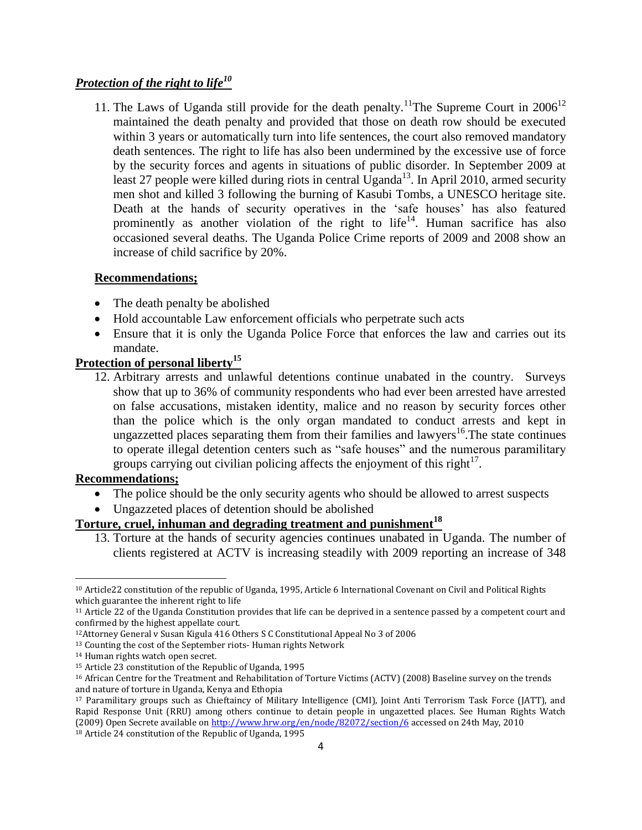# *Protection of the right to life<sup>10</sup>*

11. The Laws of Uganda still provide for the death penalty.<sup>11</sup>The Supreme Court in  $2006^{12}$ maintained the death penalty and provided that those on death row should be executed within 3 years or automatically turn into life sentences, the court also removed mandatory death sentences. The right to life has also been undermined by the excessive use of force by the security forces and agents in situations of public disorder. In September 2009 at least 27 people were killed during riots in central Uganda<sup>13</sup>. In April 2010, armed security men shot and killed 3 following the burning of Kasubi Tombs, a UNESCO heritage site. Death at the hands of security operatives in the 'safe houses' has also featured prominently as another violation of the right to  $life<sup>14</sup>$ . Human sacrifice has also occasioned several deaths. The Uganda Police Crime reports of 2009 and 2008 show an increase of child sacrifice by 20%.

## **Recommendations;**

- The death penalty be abolished
- Hold accountable Law enforcement officials who perpetrate such acts
- Ensure that it is only the Uganda Police Force that enforces the law and carries out its mandate.

# **Protection of personal liberty<sup>15</sup>**

12. Arbitrary arrests and unlawful detentions continue unabated in the country. Surveys show that up to 36% of community respondents who had ever been arrested have arrested on false accusations, mistaken identity, malice and no reason by security forces other than the police which is the only organ mandated to conduct arrests and kept in ungazzetted places separating them from their families and lawyers<sup>16</sup>. The state continues to operate illegal detention centers such as "safe houses" and the numerous paramilitary groups carrying out civilian policing affects the enjoyment of this right $17$ .

## **Recommendations;**

 $\overline{\phantom{a}}$ 

- The police should be the only security agents who should be allowed to arrest suspects
- Ungazzeted places of detention should be abolished

# **Torture, cruel, inhuman and degrading treatment and punishment<sup>18</sup>**

13. Torture at the hands of security agencies continues unabated in Uganda. The number of clients registered at ACTV is increasing steadily with 2009 reporting an increase of 348

4

<sup>10</sup> Article22 constitution of the republic of Uganda, 1995, Article 6 International Covenant on Civil and Political Rights which guarantee the inherent right to life

<sup>11</sup> Article 22 of the Uganda Constitution provides that life can be deprived in a sentence passed by a competent court and confirmed by the highest appellate court.

<sup>12</sup>Attorney General v Susan Kigula 416 Others S C Constitutional Appeal No 3 of 2006

<sup>&</sup>lt;sup>13</sup> Counting the cost of the September riots- Human rights Network

<sup>14</sup> Human rights watch open secret.

<sup>15</sup> Article 23 constitution of the Republic of Uganda, 1995

<sup>16</sup> African Centre for the Treatment and Rehabilitation of Torture Victims (ACTV) (2008) Baseline survey on the trends and nature of torture in Uganda, Kenya and Ethopia

<sup>17</sup> Paramilitary groups such as Chieftaincy of Military Intelligence (CMI), Joint Anti Terrorism Task Force (JATT), and Rapid Response Unit (RRU) among others continue to detain people in ungazetted places. See Human Rights Watch (2009) Open Secrete available o[n http://www.hrw.org/en/node/82072/section/6](http://www.hrw.org/en/node/82072/section/6) accessed on 24th May, 2010 <sup>18</sup> Article 24 constitution of the Republic of Uganda, 1995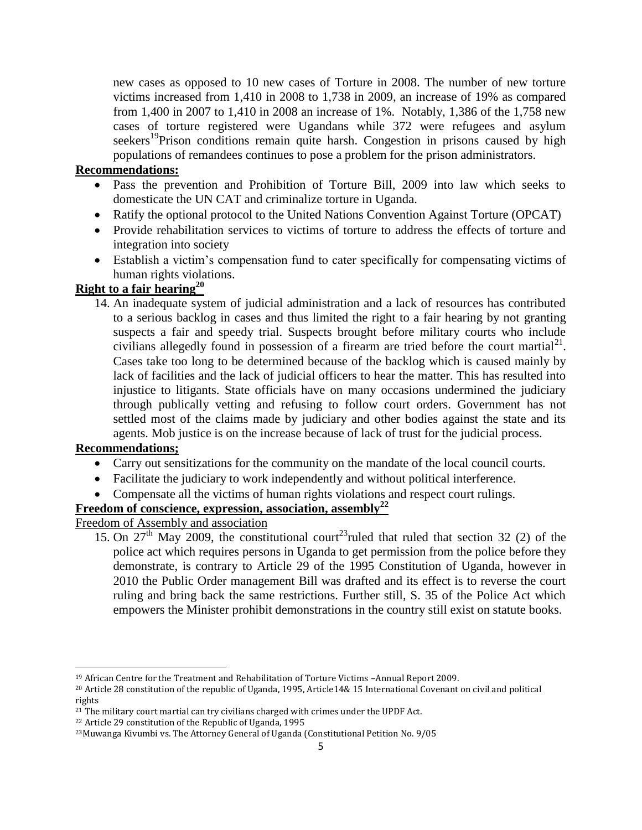new cases as opposed to 10 new cases of Torture in 2008. The number of new torture victims increased from 1,410 in 2008 to 1,738 in 2009, an increase of 19% as compared from 1,400 in 2007 to 1,410 in 2008 an increase of 1%. Notably, 1,386 of the 1,758 new cases of torture registered were Ugandans while 372 were refugees and asylum seekers<sup>19</sup>Prison conditions remain quite harsh. Congestion in prisons caused by high populations of remandees continues to pose a problem for the prison administrators.

#### **Recommendations:**

- Pass the prevention and Prohibition of Torture Bill, 2009 into law which seeks to domesticate the UN CAT and criminalize torture in Uganda.
- Ratify the optional protocol to the United Nations Convention Against Torture (OPCAT)
- Provide rehabilitation services to victims of torture to address the effects of torture and integration into society
- Establish a victim"s compensation fund to cater specifically for compensating victims of human rights violations.

# **Right to a fair hearing<sup>20</sup>**

14. An inadequate system of judicial administration and a lack of resources has contributed to a serious backlog in cases and thus limited the right to a fair hearing by not granting suspects a fair and speedy trial. Suspects brought before military courts who include civilians allegedly found in possession of a firearm are tried before the court martial<sup>21</sup>. Cases take too long to be determined because of the backlog which is caused mainly by lack of facilities and the lack of judicial officers to hear the matter. This has resulted into injustice to litigants. State officials have on many occasions undermined the judiciary through publically vetting and refusing to follow court orders. Government has not settled most of the claims made by judiciary and other bodies against the state and its agents. Mob justice is on the increase because of lack of trust for the judicial process.

# **Recommendations;**

 $\overline{\phantom{a}}$ 

- Carry out sensitizations for the community on the mandate of the local council courts.
- Facilitate the judiciary to work independently and without political interference.
- Compensate all the victims of human rights violations and respect court rulings.

## **Freedom of conscience, expression, association, assembly<sup>22</sup>**

Freedom of Assembly and association

15. On  $27<sup>th</sup>$  May 2009, the constitutional court<sup>23</sup>ruled that ruled that section 32 (2) of the police act which requires persons in Uganda to get permission from the police before they demonstrate, is contrary to Article 29 of the 1995 Constitution of Uganda, however in 2010 the Public Order management Bill was drafted and its effect is to reverse the court ruling and bring back the same restrictions. Further still, S. 35 of the Police Act which empowers the Minister prohibit demonstrations in the country still exist on statute books.

<sup>19</sup> African Centre for the Treatment and Rehabilitation of Torture Victims –Annual Report 2009.

<sup>20</sup> Article 28 constitution of the republic of Uganda, 1995, Article14& 15 International Covenant on civil and political rights

 $21$  The military court martial can try civilians charged with crimes under the UPDF Act.

<sup>22</sup> Article 29 constitution of the Republic of Uganda, 1995

<sup>23</sup>Muwanga Kivumbi vs. The Attorney General of Uganda (Constitutional Petition No. 9/05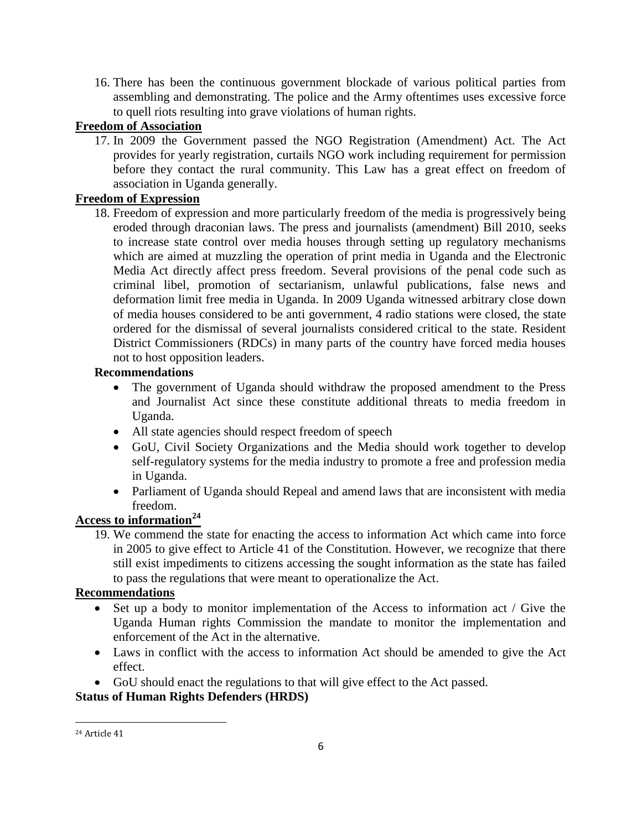16. There has been the continuous government blockade of various political parties from assembling and demonstrating. The police and the Army oftentimes uses excessive force to quell riots resulting into grave violations of human rights.

# **Freedom of Association**

17. In 2009 the Government passed the NGO Registration (Amendment) Act. The Act provides for yearly registration, curtails NGO work including requirement for permission before they contact the rural community. This Law has a great effect on freedom of association in Uganda generally.

# **Freedom of Expression**

18. Freedom of expression and more particularly freedom of the media is progressively being eroded through draconian laws. The press and journalists (amendment) Bill 2010, seeks to increase state control over media houses through setting up regulatory mechanisms which are aimed at muzzling the operation of print media in Uganda and the Electronic Media Act directly affect press freedom. Several provisions of the penal code such as criminal libel, promotion of sectarianism, unlawful publications, false news and deformation limit free media in Uganda. In 2009 Uganda witnessed arbitrary close down of media houses considered to be anti government, 4 radio stations were closed, the state ordered for the dismissal of several journalists considered critical to the state. Resident District Commissioners (RDCs) in many parts of the country have forced media houses not to host opposition leaders.

# **Recommendations**

- The government of Uganda should withdraw the proposed amendment to the Press and Journalist Act since these constitute additional threats to media freedom in Uganda.
- All state agencies should respect freedom of speech
- GoU, Civil Society Organizations and the Media should work together to develop self-regulatory systems for the media industry to promote a free and profession media in Uganda.
- Parliament of Uganda should Repeal and amend laws that are inconsistent with media freedom.

# **Access to information<sup>24</sup>**

19. We commend the state for enacting the access to information Act which came into force in 2005 to give effect to Article 41 of the Constitution. However, we recognize that there still exist impediments to citizens accessing the sought information as the state has failed to pass the regulations that were meant to operationalize the Act.

# **Recommendations**

- Set up a body to monitor implementation of the Access to information act / Give the Uganda Human rights Commission the mandate to monitor the implementation and enforcement of the Act in the alternative.
- Laws in conflict with the access to information Act should be amended to give the Act effect.
- GoU should enact the regulations to that will give effect to the Act passed.

# **Status of Human Rights Defenders (HRDS)**

 $\overline{\phantom{a}}$ <sup>24</sup> Article 41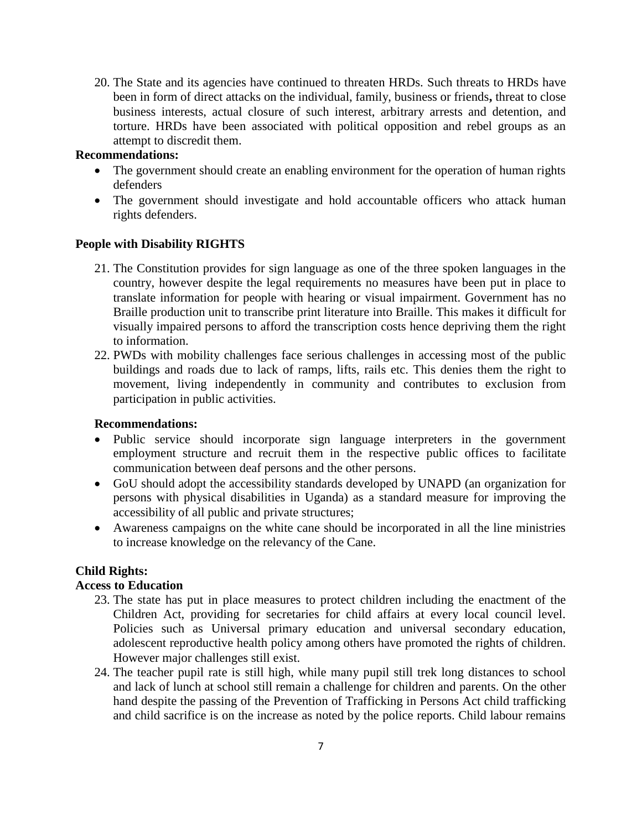20. The State and its agencies have continued to threaten HRDs. Such threats to HRDs have been in form of direct attacks on the individual, family, business or friends**,** threat to close business interests, actual closure of such interest, arbitrary arrests and detention, and torture. HRDs have been associated with political opposition and rebel groups as an attempt to discredit them.

#### **Recommendations:**

- The government should create an enabling environment for the operation of human rights defenders
- The government should investigate and hold accountable officers who attack human rights defenders.

#### **People with Disability RIGHTS**

- 21. The Constitution provides for sign language as one of the three spoken languages in the country, however despite the legal requirements no measures have been put in place to translate information for people with hearing or visual impairment. Government has no Braille production unit to transcribe print literature into Braille. This makes it difficult for visually impaired persons to afford the transcription costs hence depriving them the right to information.
- 22. PWDs with mobility challenges face serious challenges in accessing most of the public buildings and roads due to lack of ramps, lifts, rails etc. This denies them the right to movement, living independently in community and contributes to exclusion from participation in public activities.

#### **Recommendations:**

- Public service should incorporate sign language interpreters in the government employment structure and recruit them in the respective public offices to facilitate communication between deaf persons and the other persons.
- GoU should adopt the accessibility standards developed by UNAPD (an organization for persons with physical disabilities in Uganda) as a standard measure for improving the accessibility of all public and private structures;
- Awareness campaigns on the white cane should be incorporated in all the line ministries to increase knowledge on the relevancy of the Cane.

## **Child Rights:**

## **Access to Education**

- 23. The state has put in place measures to protect children including the enactment of the Children Act, providing for secretaries for child affairs at every local council level. Policies such as Universal primary education and universal secondary education, adolescent reproductive health policy among others have promoted the rights of children. However major challenges still exist.
- 24. The teacher pupil rate is still high, while many pupil still trek long distances to school and lack of lunch at school still remain a challenge for children and parents. On the other hand despite the passing of the Prevention of Trafficking in Persons Act child trafficking and child sacrifice is on the increase as noted by the police reports. Child labour remains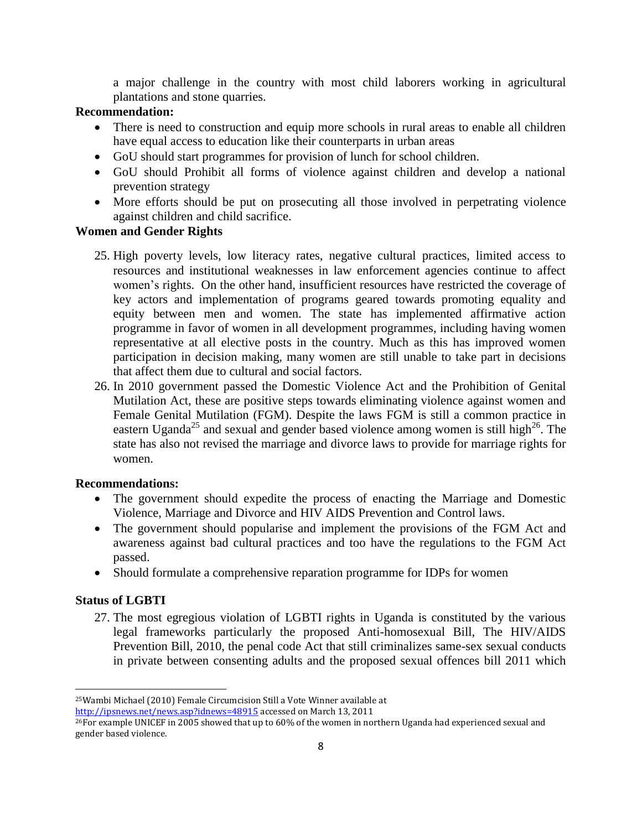a major challenge in the country with most child laborers working in agricultural plantations and stone quarries.

## **Recommendation:**

- There is need to construction and equip more schools in rural areas to enable all children have equal access to education like their counterparts in urban areas
- GoU should start programmes for provision of lunch for school children.
- GoU should Prohibit all forms of violence against children and develop a national prevention strategy
- More efforts should be put on prosecuting all those involved in perpetrating violence against children and child sacrifice.

# **Women and Gender Rights**

- 25. High poverty levels, low literacy rates, negative cultural practices, limited access to resources and institutional weaknesses in law enforcement agencies continue to affect women"s rights. On the other hand, insufficient resources have restricted the coverage of key actors and implementation of programs geared towards promoting equality and equity between men and women. The state has implemented affirmative action programme in favor of women in all development programmes, including having women representative at all elective posts in the country. Much as this has improved women participation in decision making, many women are still unable to take part in decisions that affect them due to cultural and social factors.
- 26. In 2010 government passed the Domestic Violence Act and the Prohibition of Genital Mutilation Act, these are positive steps towards eliminating violence against women and Female Genital Mutilation (FGM). Despite the laws FGM is still a common practice in eastern Uganda<sup>25</sup> and sexual and gender based violence among women is still high<sup>26</sup>. The state has also not revised the marriage and divorce laws to provide for marriage rights for women.

## **Recommendations:**

- The government should expedite the process of enacting the Marriage and Domestic Violence, Marriage and Divorce and HIV AIDS Prevention and Control laws.
- The government should popularise and implement the provisions of the FGM Act and awareness against bad cultural practices and too have the regulations to the FGM Act passed.
- Should formulate a comprehensive reparation programme for IDPs for women

# **Status of LGBTI**

 $\overline{\phantom{a}}$ 

27. The most egregious violation of LGBTI rights in Uganda is constituted by the various legal frameworks particularly the proposed Anti-homosexual Bill, The HIV/AIDS Prevention Bill, 2010, the penal code Act that still criminalizes same-sex sexual conducts in private between consenting adults and the proposed sexual offences bill 2011 which

<http://ipsnews.net/news.asp?idnews=48915> accessed on March 13, 2011

<sup>25</sup>Wambi Michael (2010) Female Circumcision Still a Vote Winner available at

<sup>26</sup>For example UNICEF in 2005 showed that up to 60% of the women in northern Uganda had experienced sexual and gender based violence.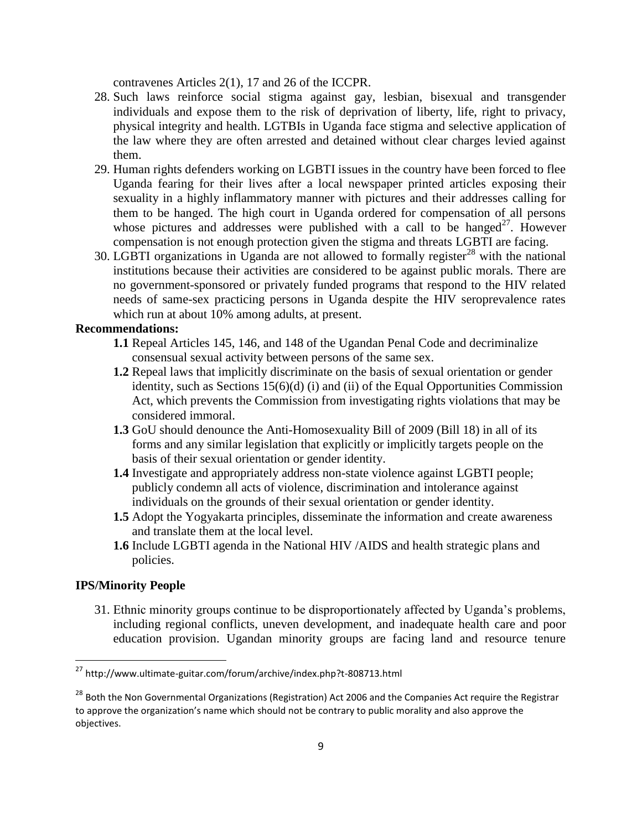contravenes Articles 2(1), 17 and 26 of the ICCPR.

- 28. Such laws reinforce social stigma against gay, lesbian, bisexual and transgender individuals and expose them to the risk of deprivation of liberty, life, right to privacy, physical integrity and health. LGTBIs in Uganda face stigma and selective application of the law where they are often arrested and detained without clear charges levied against them.
- 29. Human rights defenders working on LGBTI issues in the country have been forced to flee Uganda fearing for their lives after a local newspaper printed articles exposing their sexuality in a highly inflammatory manner with pictures and their addresses calling for them to be hanged. The high court in Uganda ordered for compensation of all persons whose pictures and addresses were published with a call to be hanged<sup>27</sup>. However compensation is not enough protection given the stigma and threats LGBTI are facing.
- 30. LGBTI organizations in Uganda are not allowed to formally register<sup>28</sup> with the national institutions because their activities are considered to be against public morals. There are no government-sponsored or privately funded programs that respond to the HIV related needs of same-sex practicing persons in Uganda despite the HIV seroprevalence rates which run at about 10% among adults, at present.

#### **Recommendations:**

- **1.1** Repeal Articles 145, 146, and 148 of the Ugandan Penal Code and decriminalize consensual sexual activity between persons of the same sex.
- **1.2** Repeal laws that implicitly discriminate on the basis of sexual orientation or gender identity, such as Sections 15(6)(d) (i) and (ii) of the Equal Opportunities Commission Act, which prevents the Commission from investigating rights violations that may be considered immoral.
- **1.3** GoU should denounce the Anti-Homosexuality Bill of 2009 (Bill 18) in all of its forms and any similar legislation that explicitly or implicitly targets people on the basis of their sexual orientation or gender identity.
- **1.4** Investigate and appropriately address non-state violence against LGBTI people; publicly condemn all acts of violence, discrimination and intolerance against individuals on the grounds of their sexual orientation or gender identity.
- **1.5** Adopt the Yogyakarta principles, disseminate the information and create awareness and translate them at the local level.
- **1.6** Include LGBTI agenda in the National HIV /AIDS and health strategic plans and policies.

#### **IPS/Minority People**

 $\overline{a}$ 

31. Ethnic minority groups continue to be disproportionately affected by Uganda"s problems, including regional conflicts, uneven development, and inadequate health care and poor education provision. Ugandan minority groups are facing land and resource tenure

<sup>&</sup>lt;sup>27</sup> http://www.ultimate-guitar.com/forum/archive/index.php?t-808713.html

<sup>&</sup>lt;sup>28</sup> Both the Non Governmental Organizations (Registration) Act 2006 and the Companies Act require the Registrar to approve the organization's name which should not be contrary to public morality and also approve the objectives.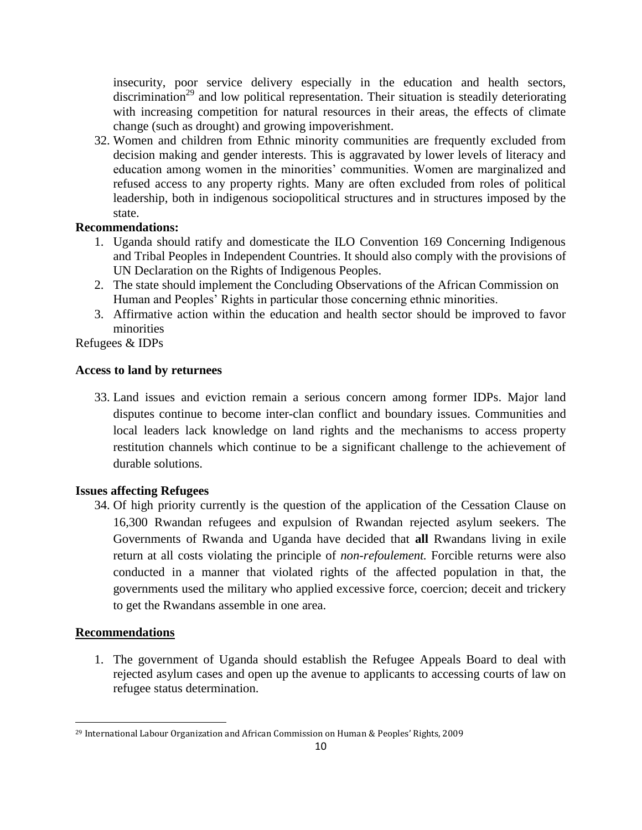insecurity, poor service delivery especially in the education and health sectors,  $\arctan^{29}$  and low political representation. Their situation is steadily deteriorating with increasing competition for natural resources in their areas, the effects of climate change (such as drought) and growing impoverishment.

32. Women and children from Ethnic minority communities are frequently excluded from decision making and gender interests. This is aggravated by lower levels of literacy and education among women in the minorities" communities. Women are marginalized and refused access to any property rights. Many are often excluded from roles of political leadership, both in indigenous sociopolitical structures and in structures imposed by the state.

# **Recommendations:**

- 1. Uganda should ratify and domesticate the ILO Convention 169 Concerning Indigenous and Tribal Peoples in Independent Countries. It should also comply with the provisions of UN Declaration on the Rights of Indigenous Peoples.
- 2. The state should implement the Concluding Observations of the African Commission on Human and Peoples" Rights in particular those concerning ethnic minorities.
- 3. Affirmative action within the education and health sector should be improved to favor minorities

Refugees & IDPs

## **Access to land by returnees**

33. Land issues and eviction remain a serious concern among former IDPs. Major land disputes continue to become inter-clan conflict and boundary issues. Communities and local leaders lack knowledge on land rights and the mechanisms to access property restitution channels which continue to be a significant challenge to the achievement of durable solutions.

## **Issues affecting Refugees**

34. Of high priority currently is the question of the application of the Cessation Clause on 16,300 Rwandan refugees and expulsion of Rwandan rejected asylum seekers. The Governments of Rwanda and Uganda have decided that **all** Rwandans living in exile return at all costs violating the principle of *non-refoulement.* Forcible returns were also conducted in a manner that violated rights of the affected population in that, the governments used the military who applied excessive force, coercion; deceit and trickery to get the Rwandans assemble in one area.

## **Recommendations**

 $\overline{\phantom{a}}$ 

1. The government of Uganda should establish the Refugee Appeals Board to deal with rejected asylum cases and open up the avenue to applicants to accessing courts of law on refugee status determination.

<sup>29</sup> International Labour Organization and African Commission on Human & Peoples' Rights, 2009